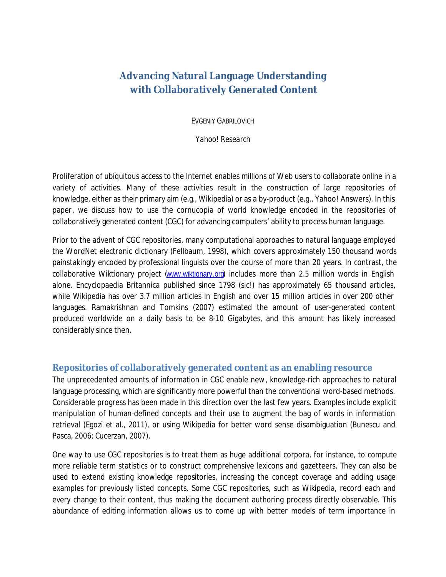# **Advancing Natural Language Understanding with Collaboratively Generated Content**

EVGENIY GABRILOVICH

*Yahoo! Research* 

Proliferation of ubiquitous access to the Internet enables millions of Web users to collaborate online in a variety of activities. Many of these activities result in the construction of large repositories of knowledge, either as their primary aim (e.g., Wikipedia) or as a by-product (e.g., Yahoo! Answers). In this paper, we discuss how to use the cornucopia of world knowledge encoded in the repositories of collaboratively generated content (CGC) for advancing computers' ability to process human language.

Prior to the advent of CGC repositories, many computational approaches to natural language employed the WordNet electronic dictionary (Fellbaum, 1998), which covers approximately 150 thousand words painstakingly encoded by professional linguists over the course of more than 20 years. In contrast, the collaborative Wiktionary project ([www.wiktionary.org](http://www.wiktionary.org)) includes more than 2.5 million words in English alone. Encyclopaedia Britannica published since 1798 (sic!) has approximately 65 thousand articles, while Wikipedia has over 3.7 million articles in English and over 15 million articles in over 200 other languages. Ramakrishnan and Tomkins (2007) estimated the amount of user-generated content produced worldwide on a daily basis to be 8-10 Gigabytes, and this amount has likely increased considerably since then.

## **Repositories of collaboratively generated content as an enabling resource**

The unprecedented amounts of information in CGC enable new, knowledge-rich approaches to natural language processing, which are significantly more powerful than the conventional word-based methods. Considerable progress has been made in this direction over the last few years. Examples include explicit manipulation of human-defined concepts and their use to augment the bag of words in information retrieval (Egozi et al., 2011), or using Wikipedia for better word sense disambiguation (Bunescu and Pasca, 2006; Cucerzan, 2007).

One way to use CGC repositories is to treat them as huge additional corpora, for instance, to compute more reliable term statistics or to construct comprehensive lexicons and gazetteers. They can also be used to extend existing knowledge repositories, increasing the concept coverage and adding usage examples for previously listed concepts. Some CGC repositories, such as Wikipedia, record each and every change to their content, thus making the document authoring process directly observable. This abundance of editing information allows us to come up with better models of term importance in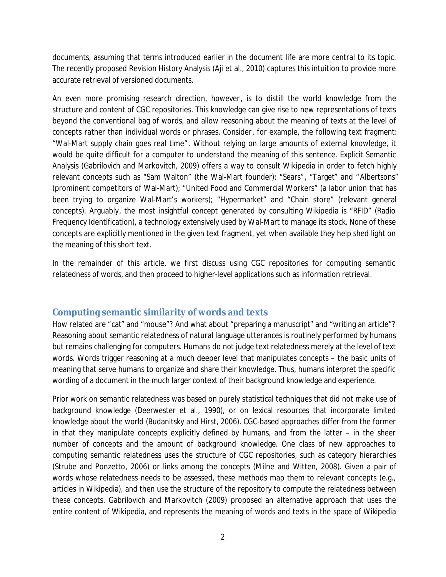documents, assuming that terms introduced earlier in the document life are more central to its topic. The recently proposed Revision History Analysis (Aji et al., 2010) captures this intuition to provide more accurate retrieval of versioned documents.

An even more promising research direction, however, is to distill the world knowledge from the structure and content of CGC repositories. This knowledge can give rise to new representations of texts beyond the conventional bag of words, and allow reasoning about the meaning of texts at the level of concepts rather than individual words or phrases. Consider, for example, the following text fragment: "Wal-Mart supply chain goes real time". Without relying on large amounts of external knowledge, it would be quite difficult for a computer to understand the meaning of this sentence. Explicit Semantic Analysis (Gabrilovich and Markovitch, 2009) offers a way to consult Wikipedia in order to fetch highly relevant concepts such as "Sam Walton" (the Wal-Mart founder); "Sears", "Target" and "Albertsons" (prominent competitors of Wal-Mart); "United Food and Commercial Workers" (a labor union that has been trying to organize Wal-Mart's workers); "Hypermarket" and "Chain store" (relevant general concepts). Arguably, the most insightful concept generated by consulting Wikipedia is "RFID" (Radio Frequency Identification), a technology extensively used by Wal-Mart to manage its stock. None of these concepts are explicitly mentioned in the given text fragment, yet when available they help shed light on the meaning of this short text.

In the remainder of this article, we first discuss using CGC repositories for computing semantic relatedness of words, and then proceed to higher-level applications such as information retrieval.

## **Computing semantic similarity of words and texts**

How related are "cat" and "mouse"? And what about "preparing a manuscript" and "writing an article"? Reasoning about semantic relatedness of natural language utterances is routinely performed by humans but remains challenging for computers. Humans do not judge text relatedness merely at the level of text words. Words trigger reasoning at a much deeper level that manipulates concepts – the basic units of meaning that serve humans to organize and share their knowledge. Thus, humans interpret the specific wording of a document in the much larger context of their background knowledge and experience.

Prior work on semantic relatedness was based on purely statistical techniques that did not make use of background knowledge (Deerwester et al., 1990), or on lexical resources that incorporate limited knowledge about the world (Budanitsky and Hirst, 2006). CGC-based approaches differ from the former in that they manipulate concepts explicitly defined by humans, and from the latter – in the sheer number of concepts and the amount of background knowledge. One class of new approaches to computing semantic relatedness uses the structure of CGC repositories, such as category hierarchies (Strube and Ponzetto, 2006) or links among the concepts (Milne and Witten, 2008). Given a pair of words whose relatedness needs to be assessed, these methods map them to relevant concepts (e.g., articles in Wikipedia), and then use the structure of the repository to compute the relatedness between these concepts. Gabrilovich and Markovitch (2009) proposed an alternative approach that uses the entire content of Wikipedia, and represents the meaning of words and texts in the space of Wikipedia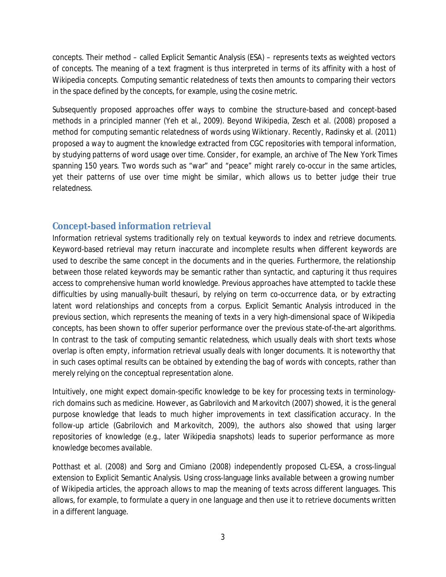concepts. Their method – called Explicit Semantic Analysis (ESA) – represents texts as weighted vectors of concepts. The meaning of a text fragment is thus interpreted in terms of its affinity with a host of Wikipedia concepts. Computing semantic relatedness of texts then amounts to comparing their vectors in the space defined by the concepts, for example, using the cosine metric.

Subsequently proposed approaches offer ways to combine the structure-based and concept-based methods in a principled manner (Yeh et al., 2009). Beyond Wikipedia, Zesch et al. (2008) proposed a method for computing semantic relatedness of words using Wiktionary. Recently, Radinsky et al. (2011) proposed a way to augment the knowledge extracted from CGC repositories with temporal information, by studying patterns of word usage over time. Consider, for example, an archive of The New York Times spanning 150 years. Two words such as "war" and "peace" might rarely co-occur in the same articles, yet their patterns of use over time might be similar, which allows us to better judge their true relatedness.

## **Concept-based information retrieval**

Information retrieval systems traditionally rely on textual keywords to index and retrieve documents. Keyword-based retrieval may return inaccurate and incomplete results when different keywords are used to describe the same concept in the documents and in the queries. Furthermore, the relationship between those related keywords may be semantic rather than syntactic, and capturing it thus requires access to comprehensive human world knowledge. Previous approaches have attempted to tackle these difficulties by using manually-built thesauri, by relying on term co-occurrence data, or by extracting latent word relationships and concepts from a corpus. Explicit Semantic Analysis introduced in the previous section, which represents the meaning of texts in a very high-dimensional space of Wikipedia concepts, has been shown to offer superior performance over the previous state-of-the-art algorithms. In contrast to the task of computing semantic relatedness, which usually deals with short texts whose overlap is often empty, information retrieval usually deals with longer documents. It is noteworthy that in such cases optimal results can be obtained by extending the bag of words with concepts, rather than merely relying on the conceptual representation alone.

Intuitively, one might expect domain-specific knowledge to be key for processing texts in terminologyrich domains such as medicine. However, as Gabrilovich and Markovitch (2007) showed, it is the general purpose knowledge that leads to much higher improvements in text classification accuracy. In the follow-up article (Gabrilovich and Markovitch, 2009), the authors also showed that using larger repositories of knowledge (e.g., later Wikipedia snapshots) leads to superior performance as more knowledge becomes available.

Potthast et al. (2008) and Sorg and Cimiano (2008) independently proposed CL-ESA, a cross-lingual extension to Explicit Semantic Analysis. Using cross-language links available between a growing number of Wikipedia articles, the approach allows to map the meaning of texts across different languages. This allows, for example, to formulate a query in one language and then use it to retrieve documents written in a different language.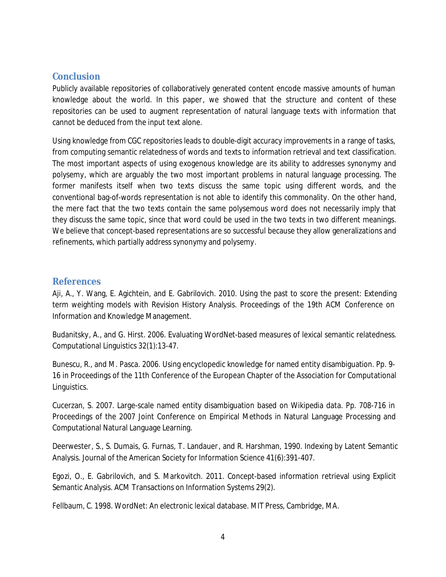#### **Conclusion**

Publicly available repositories of collaboratively generated content encode massive amounts of human knowledge about the world. In this paper, we showed that the structure and content of these repositories can be used to augment representation of natural language texts with information that cannot be deduced from the input text alone.

Using knowledge from CGC repositories leads to double-digit accuracy improvements in a range of tasks, from computing semantic relatedness of words and texts to information retrieval and text classification. The most important aspects of using exogenous knowledge are its ability to addresses synonymy and polysemy, which are arguably the two most important problems in natural language processing. The former manifests itself when two texts discuss the same topic using different words, and the conventional bag-of-words representation is not able to identify this commonality. On the other hand, the mere fact that the two texts contain the same polysemous word does not necessarily imply that they discuss the same topic, since that word could be used in the two texts in two different meanings. We believe that concept-based representations are so successful because they allow generalizations and refinements, which partially address synonymy and polysemy.

#### **References**

Aji, A., Y. Wang, E. Agichtein, and E. Gabrilovich. 2010. Using the past to score the present: Extending term weighting models with Revision History Analysis. Proceedings of the 19th ACM Conference on Information and Knowledge Management.

Budanitsky, A., and G. Hirst. 2006. Evaluating WordNet-based measures of lexical semantic relatedness. Computational Linguistics 32(1):13-47.

Bunescu, R., and M. Pasca. 2006. Using encyclopedic knowledge for named entity disambiguation. Pp. 9- 16 in Proceedings of the 11th Conference of the European Chapter of the Association for Computational Linguistics.

Cucerzan, S. 2007. Large-scale named entity disambiguation based on Wikipedia data. Pp. 708-716 in Proceedings of the 2007 Joint Conference on Empirical Methods in Natural Language Processing and Computational Natural Language Learning.

Deerwester, S., S. Dumais, G. Furnas, T. Landauer, and R. Harshman, 1990. Indexing by Latent Semantic Analysis. Journal of the American Society for Information Science 41(6):391-407.

Egozi, O., E. Gabrilovich, and S. Markovitch. 2011. Concept-based information retrieval using Explicit Semantic Analysis. ACM Transactions on Information Systems 29(2).

Fellbaum, C. 1998. WordNet: An electronic lexical database. MIT Press, Cambridge, MA.